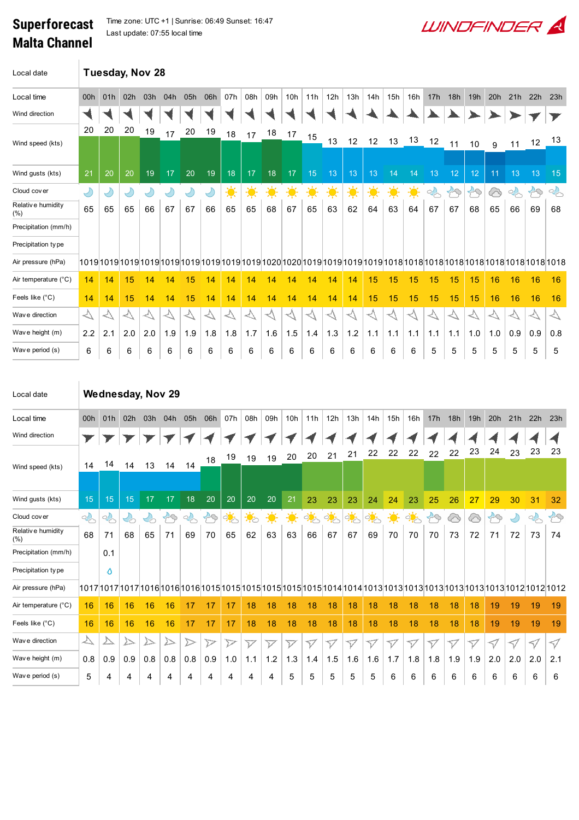## Superforecast Malta Channel

Time zone: UTC +1 | Sunrise: 06:49 Sunset: 16:47 Last update: 07:55 local time

| Local date                     | Tuesday, Nov 28    |                   |                                |                                   |                                 |                             |                          |                       |                             |                          |                          |                    |                     |                    |                    |                           |                  |                     |                  |                  |                     |                  |                                                                                                         |                             |
|--------------------------------|--------------------|-------------------|--------------------------------|-----------------------------------|---------------------------------|-----------------------------|--------------------------|-----------------------|-----------------------------|--------------------------|--------------------------|--------------------|---------------------|--------------------|--------------------|---------------------------|------------------|---------------------|------------------|------------------|---------------------|------------------|---------------------------------------------------------------------------------------------------------|-----------------------------|
| Local time                     | 00h                | 01h               | 02h                            | 03h                               | 04h                             | 05h                         | 06h                      | 07h                   | 08h                         | 09h                      | 10h                      | 11h                | 12h                 | 13h                | 14h                | 15h                       | 16h              | 17h                 | 18h              | 19h              | 20h                 | 21h              | 22h                                                                                                     | 23h                         |
| Wind direction                 |                    |                   |                                |                                   |                                 |                             |                          |                       |                             |                          |                          |                    |                     |                    |                    |                           |                  |                     |                  |                  |                     |                  |                                                                                                         |                             |
|                                | 20                 | 20                | 20                             | 19                                | 17                              | 20                          | 19                       | 18                    | 17                          | 18                       | 17                       | 15                 |                     |                    |                    |                           |                  |                     |                  |                  |                     |                  |                                                                                                         |                             |
| Wind speed (kts)               |                    |                   |                                |                                   |                                 |                             |                          |                       |                             |                          |                          |                    | 13                  | 12                 | 12                 | 13                        | 13               | 12                  | 11               | 10               | 9                   | 11               | 12                                                                                                      | 13                          |
| Wind gusts (kts)               | 21                 | 20                | 20                             | 19                                | 17                              | 20                          | 19                       | 18                    | 17                          | 18                       | 17                       | 15                 | 13                  | 13                 | 13                 | 14                        | 14               | 13                  | 12               | 12               | 11                  | 13               | 13                                                                                                      | 15                          |
| Cloud cover                    | $\bigcirc$         | Ÿ                 | $\bigcirc$                     | $\bigcirc$                        | $\bigcirc$                      | Y                           | $\bigcup$                | 美                     | $\frac{1}{2}$               | $\ddot{\bullet}$         | $\ddot{\bullet}$         | 美                  | ☀                   | 美                  | 美                  | $\ddot{\bullet}$          | 美                | $\frac{1}{2}$       | $\mathcal{B}$    | $\mathcal{B}$    | ᢙ                   | $\frac{1}{2}$    | $\mathfrak{S}% _{T}=\mathfrak{S}_{T}\!\left( a,b\right) ,\ \mathfrak{S}_{T}=C_{T}\!\left( a,b\right) ,$ | $\sim$                      |
| Relative humidity<br>$(\%)$    | 65                 | 65                | 65                             | 66                                | 67                              | 67                          | 66                       | 65                    | 65                          | 68                       | 67                       | 65                 | 63                  | 62                 | 64                 | 63                        | 64               | 67                  | 67               | 68               | 65                  | 66               | 69                                                                                                      | 68                          |
| Precipitation (mm/h)           |                    |                   |                                |                                   |                                 |                             |                          |                       |                             |                          |                          |                    |                     |                    |                    |                           |                  |                     |                  |                  |                     |                  |                                                                                                         |                             |
| Precipitation type             |                    |                   |                                |                                   |                                 |                             |                          |                       |                             |                          |                          |                    |                     |                    |                    |                           |                  |                     |                  |                  |                     |                  |                                                                                                         |                             |
| Air pressure (hPa)             |                    |                   |                                |                                   |                                 |                             |                          |                       |                             |                          |                          |                    |                     |                    |                    |                           |                  |                     |                  |                  |                     |                  |                                                                                                         |                             |
| Air temperature (°C)           | 14                 | 14                | 15                             | 14                                | 14                              | 15                          | 14                       | 14                    | 14                          | 14                       | 14                       | 14                 | 14                  | 14                 | 15                 | 15                        | 15               | 15                  | 15               | 15               | 16                  | 16               | 16                                                                                                      | 16                          |
| Feels like (°C)                | 14                 | 14                | 15                             | 14                                | 14                              | 15                          | 14                       | 14                    | 14                          | 14                       | 14                       | 14                 | 14                  | 14                 | 15                 | 15                        | 15               | 15                  | 15               | 15               | 16                  | 16               | 16                                                                                                      | 16                          |
| Wave direction                 | $\blacktriangle$   | $\blacktriangle$  | $\rightsquigarrow$             | $\blacktriangle$                  | $\blacktriangle$                | $\overline{\triangleright}$ | $\overline{\mathcal{N}}$ | $\overline{\searrow}$ | $\overline{\triangleright}$ | $\rightsquigarrow$       | $\triangleleft$          | $\rightsquigarrow$ | $\rightsquigarrow$  | $\, \triangleleft$ | $\rightsquigarrow$ | $\rightsquigarrow$        | $\heartsuit$     | $\rightsquigarrow$  | $\blacktriangle$ | $\blacktriangle$ | $\blacktriangle$    | く                | $\overline{\mathbb{A}}$                                                                                 | $\overline{\triangleright}$ |
| Wave height (m)                | 2.2                | 2.1               | 2.0                            | 2.0                               | 1.9                             | 1.9                         | 1.8                      | 1.8                   | 1.7                         | 1.6                      | 1.5                      | 1.4                | 1.3                 | 1.2                | 1.1                | 1.1                       | 1.1              | 1.1                 | 1.1              | 1.0              | 1.0                 | 0.9              | 0.9                                                                                                     | 0.8                         |
| Wave period (s)                | 6                  | 6                 | 6                              | 6                                 | 6                               | 6                           | 6                        | 6                     | 6                           | 6                        | 6                        | 6                  | 6                   | 6                  | 6                  | 6                         | 6                | 5                   | 5                | 5                | 5                   | 5                | 5                                                                                                       | 5                           |
|                                |                    |                   |                                |                                   |                                 |                             |                          |                       |                             |                          |                          |                    |                     |                    |                    |                           |                  |                     |                  |                  |                     |                  |                                                                                                         |                             |
| Local date<br>Local time       | 00h                | 01h               | 02h                            | 03h                               | <b>Wednesday, Nov 29</b><br>04h | 05h                         | 06h                      | 07h                   | 08h                         | 09h                      | 10h                      | 11h                | 12h                 | 13h                | 14h                | 15h                       | 16h              | 17h                 | 18h              | 19h              | 20h                 | 21h              | 22h                                                                                                     | 23h                         |
| Wind direction                 |                    |                   |                                |                                   |                                 |                             |                          |                       |                             |                          |                          |                    |                     |                    |                    |                           |                  |                     |                  |                  |                     |                  |                                                                                                         |                             |
|                                |                    |                   |                                |                                   |                                 |                             | 18                       | 19                    | 19                          | 19                       | 20                       | 20                 | 21                  | 21                 | 22                 | 22                        | 22               | 22                  | 22               | 23               | 24                  | 23               | 23                                                                                                      | 23                          |
| Wind speed (kts)               | 14                 | 14                | 14                             | 13                                | 14                              | 14                          |                          |                       |                             |                          |                          |                    |                     |                    |                    |                           |                  |                     |                  |                  |                     |                  |                                                                                                         |                             |
| Wind gusts (kts)               | 15                 | 15                | $15\,$                         | 17                                | $17$                            | 18                          | 20                       | 20                    | 20                          | 20                       | 21                       | 23                 | 23                  | 23                 |                    | $24 \mid 24 \mid 23 \mid$ |                  | 25                  | 26               |                  | $27$ 29             | 30 <sup>°</sup>  | $31 \mid 32$                                                                                            |                             |
| Cloud cover                    |                    |                   |                                |                                   |                                 |                             |                          |                       |                             |                          |                          |                    |                     |                    |                    |                           |                  |                     |                  |                  |                     |                  |                                                                                                         | $\mathcal{B}$               |
| Relative humidity              | $\mathbb{Q}$<br>68 | $\sim$<br>71      | $\mathcal{L}_{\bigcirc}$<br>68 | $\mathcal{C}_{\mathcal{O}}$<br>65 | $\mathcal{B}$<br>71             | $\sim$<br>69                | $\curvearrowleft$<br>70  | <u>ं म</u><br>65      | $\ddot{\bullet}$<br>62      | 美<br>63                  | $\frac{1}{2}$<br>63      | कुं<br>66          | $\frac{1}{2}$<br>67 | ्री<br>67          | ्रं<br>69          | 美<br>70                   | <u>ं ं</u><br>70 | $\mathcal{B}$<br>70 | 6<br>73          | ⓒ<br>72          | $\mathcal{B}$<br>71 | $\bigcirc$<br>72 | $\sim$<br>73                                                                                            | 74                          |
| $(\%)$<br>Precipitation (mm/h) |                    | 0.1               |                                |                                   |                                 |                             |                          |                       |                             |                          |                          |                    |                     |                    |                    |                           |                  |                     |                  |                  |                     |                  |                                                                                                         |                             |
| Precipitation type             |                    | $\mathbf{\Omega}$ |                                |                                   |                                 |                             |                          |                       |                             |                          |                          |                    |                     |                    |                    |                           |                  |                     |                  |                  |                     |                  |                                                                                                         |                             |
| Air pressure (hPa)             |                    |                   |                                |                                   |                                 |                             |                          |                       |                             |                          |                          |                    |                     |                    |                    |                           |                  |                     |                  |                  |                     |                  |                                                                                                         |                             |
| Air temperature (°C)           | 16                 | 16                | 16                             | 16                                | 16                              | 17                          | 17                       | 17                    | 18                          | 18                       | 18                       | 18                 | 18                  | 18                 | 18                 | 18                        | 18               | 18                  | 18               | 18               | 19                  | 19               | 19                                                                                                      | 19                          |
| Feels like (°C)                | 16                 | 16                | 16                             | 16                                | 16                              | 17                          | 17                       | 17                    | 18                          | 18                       | 18                       | 18                 | 18                  | 18                 | 18                 | 18                        | 18               | 18                  | 18               | 18               | 19                  | 19               | 19                                                                                                      | 19                          |
| Wav e direction                | $\overline{\vee}$  | △                 |                                | $\triangleright$                  | $\triangleright$                | $\triangleright$            | $\triangleright$         | $\triangleright$      | $\overline{\mathcal{V}}$    | $\overline{\mathcal{V}}$ | $\overline{\mathcal{V}}$ |                    | V                   | V                  | V                  | V                         | V                | V                   |                  |                  |                     |                  |                                                                                                         |                             |
| Wave height (m)                | 0.8                | 0.9               | 0.9                            | 0.8                               | 0.8                             | 0.8                         | 0.9                      | 1.0                   | 1.1                         | $1.2$                    | 1.3                      | $\nabla$<br>1.4    | 1.5                 | 1.6                | 1.6                | 1.7                       | 1.8              | 1.8                 | $\nabla$<br>1.9  | V<br>1.9         | V<br>2.0            | 7<br>2.0         | $\triangleleft$<br>2.0                                                                                  | $\triangleleft$<br>2.1      |

**WINDFINDER**